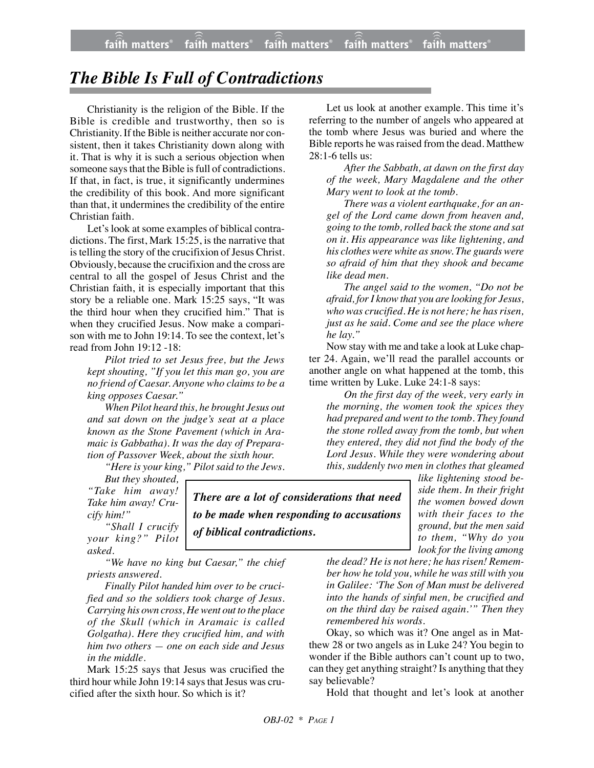## *The Bible Is Full of Contradictions*

Christianity is the religion of the Bible. If the Bible is credible and trustworthy, then so is Christianity. If the Bible is neither accurate nor consistent, then it takes Christianity down along with it. That is why it is such a serious objection when someone says that the Bible is full of contradictions. If that, in fact, is true, it significantly undermines the credibility of this book. And more significant than that, it undermines the credibility of the entire Christian faith.

Let's look at some examples of biblical contradictions. The first, Mark 15:25, is the narrative that is telling the story of the crucifixion of Jesus Christ. Obviously, because the crucifixion and the cross are central to all the gospel of Jesus Christ and the Christian faith, it is especially important that this story be a reliable one. Mark 15:25 says, "It was the third hour when they crucified him." That is when they crucified Jesus. Now make a comparison with me to John 19:14. To see the context, let's read from John 19:12 -18:

*Pilot tried to set Jesus free, but the Jews kept shouting, "If you let this man go, you are no friend of Caesar. Anyone who claims to be a king opposes Caesar."*

*When Pilot heard this, he brought Jesus out and sat down on the judge's seat at a place known as the Stone Pavement (which in Aramaic is Gabbatha). It was the day of Preparation of Passover Week, about the sixth hour.*

*"Here is your king," Pilot said to the Jews.*

*But they shouted, "Take him away! Take him away! Crucify him!"*

*"Shall I crucify your king?" Pilot asked.*

*"We have no king but Caesar," the chief priests answered.*

*Finally Pilot handed him over to be crucified and so the soldiers took charge of Jesus. Carrying his own cross, He went out to the place of the Skull (which in Aramaic is called Golgatha). Here they crucified him, and with him two others — one on each side and Jesus in the middle.*

Mark 15:25 says that Jesus was crucified the third hour while John 19:14 says that Jesus was crucified after the sixth hour. So which is it?

Let us look at another example. This time it's referring to the number of angels who appeared at the tomb where Jesus was buried and where the Bible reports he was raised from the dead. Matthew 28:1-6 tells us:

*After the Sabbath, at dawn on the first day of the week, Mary Magdalene and the other Mary went to look at the tomb.*

*There was a violent earthquake, for an angel of the Lord came down from heaven and, going to the tomb, rolled back the stone and sat on it. His appearance was like lightening, and his clothes were white as snow. The guards were so afraid of him that they shook and became like dead men.*

*The angel said to the women, "Do not be afraid, for I know that you are looking for Jesus, who was crucified. He is not here; he has risen, just as he said. Come and see the place where he lay."*

Now stay with me and take a look at Luke chapter 24. Again, we'll read the parallel accounts or another angle on what happened at the tomb, this time written by Luke. Luke 24:1-8 says:

*On the first day of the week, very early in the morning, the women took the spices they had prepared and went to the tomb. They found the stone rolled away from the tomb, but when they entered, they did not find the body of the Lord Jesus. While they were wondering about this, suddenly two men in clothes that gleamed*

> *like lightening stood beside them. In their fright the women bowed down with their faces to the ground, but the men said to them, "Why do you look for the living among*

*the dead? He is not here; he has risen! Remember how he told you, while he was still with you in Galilee: 'The Son of Man must be delivered into the hands of sinful men, be crucified and on the third day be raised again.'" Then they remembered his words.*

Okay, so which was it? One angel as in Matthew 28 or two angels as in Luke 24? You begin to wonder if the Bible authors can't count up to two, can they get anything straight? Is anything that they say believable?

Hold that thought and let's look at another

*There are a lot of considerations that need to be made when responding to accusations*

*of biblical contradictions.*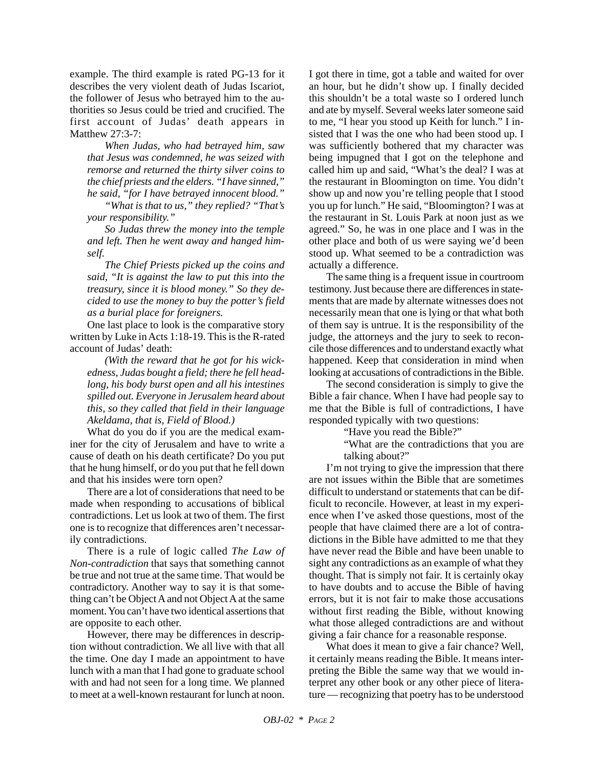example. The third example is rated PG-13 for it describes the very violent death of Judas Iscariot, the follower of Jesus who betrayed him to the authorities so Jesus could be tried and crucified. The first account of Judas' death appears in Matthew 27:3-7:

*When Judas, who had betrayed him, saw that Jesus was condemned, he was seized with remorse and returned the thirty silver coins to the chief priests and the elders. "I have sinned," he said, "for I have betrayed innocent blood."*

*"What is that to us," they replied? "That's your responsibility."*

*So Judas threw the money into the temple and left. Then he went away and hanged himself.*

*The Chief Priests picked up the coins and said, "It is against the law to put this into the treasury, since it is blood money." So they decided to use the money to buy the potter's field as a burial place for foreigners.*

One last place to look is the comparative story written by Luke in Acts 1:18-19. This is the R-rated account of Judas' death:

*(With the reward that he got for his wickedness, Judas bought a field; there he fell headlong, his body burst open and all his intestines spilled out. Everyone in Jerusalem heard about this, so they called that field in their language Akeldama, that is, Field of Blood.)*

What do you do if you are the medical examiner for the city of Jerusalem and have to write a cause of death on his death certificate? Do you put that he hung himself, or do you put that he fell down and that his insides were torn open?

There are a lot of considerations that need to be made when responding to accusations of biblical contradictions. Let us look at two of them. The first one is to recognize that differences aren't necessarily contradictions.

There is a rule of logic called *The Law of Non-contradiction* that says that something cannot be true and not true at the same time. That would be contradictory. Another way to say it is that something can't be Object A and not Object A at the same moment. You can't have two identical assertions that are opposite to each other.

However, there may be differences in description without contradiction. We all live with that all the time. One day I made an appointment to have lunch with a man that I had gone to graduate school with and had not seen for a long time. We planned to meet at a well-known restaurant for lunch at noon. I got there in time, got a table and waited for over an hour, but he didn't show up. I finally decided this shouldn't be a total waste so I ordered lunch and ate by myself. Several weeks later someone said to me, "I hear you stood up Keith for lunch." I insisted that I was the one who had been stood up. I was sufficiently bothered that my character was being impugned that I got on the telephone and called him up and said, "What's the deal? I was at the restaurant in Bloomington on time. You didn't show up and now you're telling people that I stood you up for lunch." He said, "Bloomington? I was at the restaurant in St. Louis Park at noon just as we agreed." So, he was in one place and I was in the other place and both of us were saying we'd been stood up. What seemed to be a contradiction was actually a difference.

The same thing is a frequent issue in courtroom testimony. Just because there are differences in statements that are made by alternate witnesses does not necessarily mean that one is lying or that what both of them say is untrue. It is the responsibility of the judge, the attorneys and the jury to seek to reconcile those differences and to understand exactly what happened. Keep that consideration in mind when looking at accusations of contradictions in the Bible.

The second consideration is simply to give the Bible a fair chance. When I have had people say to me that the Bible is full of contradictions, I have responded typically with two questions:

"Have you read the Bible?"

"What are the contradictions that you are talking about?"

I'm not trying to give the impression that there are not issues within the Bible that are sometimes difficult to understand or statements that can be difficult to reconcile. However, at least in my experience when I've asked those questions, most of the people that have claimed there are a lot of contradictions in the Bible have admitted to me that they have never read the Bible and have been unable to sight any contradictions as an example of what they thought. That is simply not fair. It is certainly okay to have doubts and to accuse the Bible of having errors, but it is not fair to make those accusations without first reading the Bible, without knowing what those alleged contradictions are and without giving a fair chance for a reasonable response.

What does it mean to give a fair chance? Well, it certainly means reading the Bible. It means interpreting the Bible the same way that we would interpret any other book or any other piece of literature — recognizing that poetry has to be understood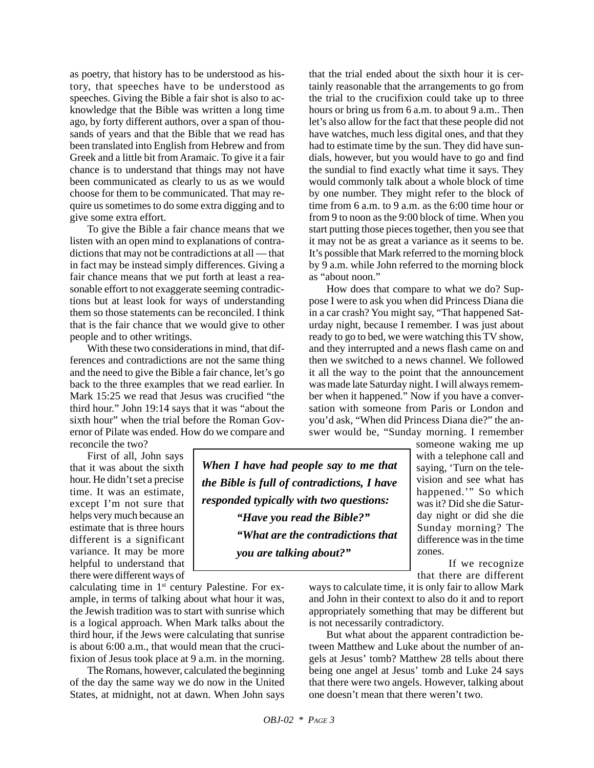as poetry, that history has to be understood as history, that speeches have to be understood as speeches. Giving the Bible a fair shot is also to acknowledge that the Bible was written a long time ago, by forty different authors, over a span of thousands of years and that the Bible that we read has been translated into English from Hebrew and from Greek and a little bit from Aramaic. To give it a fair chance is to understand that things may not have been communicated as clearly to us as we would choose for them to be communicated. That may require us sometimes to do some extra digging and to give some extra effort.

To give the Bible a fair chance means that we listen with an open mind to explanations of contradictions that may not be contradictions at all — that in fact may be instead simply differences. Giving a fair chance means that we put forth at least a reasonable effort to not exaggerate seeming contradictions but at least look for ways of understanding them so those statements can be reconciled. I think that is the fair chance that we would give to other people and to other writings.

With these two considerations in mind, that differences and contradictions are not the same thing and the need to give the Bible a fair chance, let's go back to the three examples that we read earlier. In Mark 15:25 we read that Jesus was crucified "the third hour." John 19:14 says that it was "about the sixth hour" when the trial before the Roman Governor of Pilate was ended. How do we compare and reconcile the two?

First of all, John says that it was about the sixth hour. He didn't set a precise time. It was an estimate, except I'm not sure that helps very much because an estimate that is three hours different is a significant variance. It may be more helpful to understand that there were different ways of

calculating time in 1<sup>st</sup> century Palestine. For example, in terms of talking about what hour it was, the Jewish tradition was to start with sunrise which is a logical approach. When Mark talks about the third hour, if the Jews were calculating that sunrise is about 6:00 a.m., that would mean that the crucifixion of Jesus took place at 9 a.m. in the morning.

The Romans, however, calculated the beginning of the day the same way we do now in the United States, at midnight, not at dawn. When John says that the trial ended about the sixth hour it is certainly reasonable that the arrangements to go from the trial to the crucifixion could take up to three hours or bring us from 6 a.m. to about 9 a.m.. Then let's also allow for the fact that these people did not have watches, much less digital ones, and that they had to estimate time by the sun. They did have sundials, however, but you would have to go and find the sundial to find exactly what time it says. They would commonly talk about a whole block of time by one number. They might refer to the block of time from 6 a.m. to 9 a.m. as the 6:00 time hour or from 9 to noon as the 9:00 block of time. When you start putting those pieces together, then you see that it may not be as great a variance as it seems to be. It's possible that Mark referred to the morning block by 9 a.m. while John referred to the morning block as "about noon."

How does that compare to what we do? Suppose I were to ask you when did Princess Diana die in a car crash? You might say, "That happened Saturday night, because I remember. I was just about ready to go to bed, we were watching this TV show, and they interrupted and a news flash came on and then we switched to a news channel. We followed it all the way to the point that the announcement was made late Saturday night. I will always remember when it happened." Now if you have a conversation with someone from Paris or London and you'd ask, "When did Princess Diana die?" the answer would be, "Sunday morning. I remember

*When I have had people say to me that the Bible is full of contradictions, I have responded typically with two questions: "Have you read the Bible?" "What are the contradictions that you are talking about?"*

someone waking me up with a telephone call and saying, 'Turn on the television and see what has happened.'" So which was it? Did she die Saturday night or did she die Sunday morning? The difference was in the time zones.

If we recognize that there are different

ways to calculate time, it is only fair to allow Mark and John in their context to also do it and to report appropriately something that may be different but is not necessarily contradictory.

But what about the apparent contradiction between Matthew and Luke about the number of angels at Jesus' tomb? Matthew 28 tells about there being one angel at Jesus' tomb and Luke 24 says that there were two angels. However, talking about one doesn't mean that there weren't two.